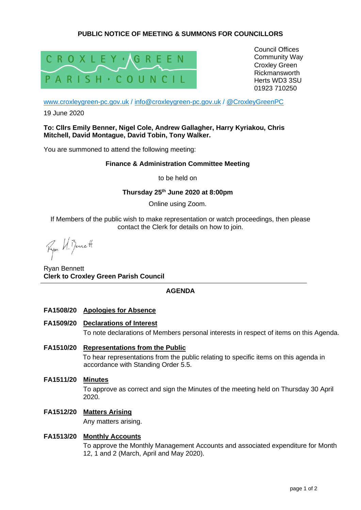# **PUBLIC NOTICE OF MEETING & SUMMONS FOR COUNCILLORS**



Council Offices Community Way Croxley Green Rickmansworth Herts WD3 3SU 01923 710250

[www.croxleygreen-pc.gov.uk](http://www.croxleygreen-pc.gov.uk/) / [info@croxleygreen-pc.gov.uk](mailto:info@croxleygreen-pc.gov.uk) / [@CroxleyGreenPC](https://twitter.com/CroxleyGreenPC)

19 June 2020

# **To: Cllrs Emily Benner, Nigel Cole, Andrew Gallagher, Harry Kyriakou, Chris Mitchell, David Montague, David Tobin, Tony Walker.**

You are summoned to attend the following meeting:

# **Finance & Administration Committee Meeting**

to be held on

# **Thursday 25th June 2020 at 8:00pm**

Online using Zoom.

If Members of the public wish to make representation or watch proceedings, then please contact the Clerk for details on how to join.

Ryon U. Benett

Ryan Bennett **Clerk to Croxley Green Parish Council**

# **AGENDA**

- **FA1508/20 Apologies for Absence**
- **FA1509/20 Declarations of Interest**

To note declarations of Members personal interests in respect of items on this Agenda.

- **FA1510/20 Representations from the Public**  To hear representations from the public relating to specific items on this agenda in accordance with Standing Order 5.5.
- **FA1511/20 Minutes** To approve as correct and sign the Minutes of the meeting held on Thursday 30 April 2020.
- **FA1512/20 Matters Arising**

Any matters arising.

# **FA1513/20 Monthly Accounts**

To approve the Monthly Management Accounts and associated expenditure for Month 12, 1 and 2 (March, April and May 2020).